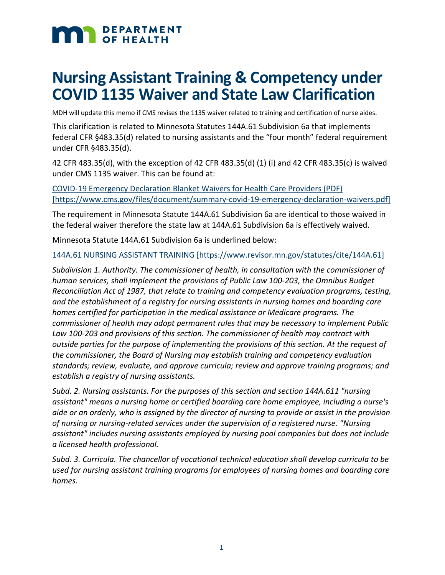# **MAN DEPARTMENT**

# **Nursing Assistant Training & Competency under COVID 1135 Waiver and State Law Clarification**

MDH will update this memo if CMS revises the 1135 waiver related to training and certification of nurse aides.

This clarification is related to Minnesota Statutes 144A.61 Subdivision 6a that implements federal CFR §483.35(d) related to nursing assistants and the "four month" federal requirement under CFR §483.35(d).

42 CFR 483.35(d), with the exception of 42 CFR 483.35(d) (1) (i) and 42 CFR 483.35(c) is waived under CMS 1135 waiver. This can be found at:

[COVID-19 Emergency Declaration Blanket Waivers for Health Care Providers \(PDF\)](https://www.cms.gov/files/document/summary-covid-19-emergency-declaration-waivers.pdf)  [\[https://www.cms.gov/files/document/summary-covid-19-emergency-declaration-waivers.pdf\]](https://www.cms.gov/files/document/summary-covid-19-emergency-declaration-waivers.pdf)

The requirement in Minnesota Statute 144A.61 Subdivision 6a are identical to those waived in the federal waiver therefore the state law at 144A.61 Subdivision 6a is effectively waived.

Minnesota Statute 144A.61 Subdivision 6a is underlined below:

144A.61 NURSING ASSISTANT TRAINING [\[https://www.revisor.mn.gov/statutes/cite/144A.61\]](https://www.revisor.mn.gov/statutes/cite/144A.61)

*Subdivision 1. Authority. The commissioner of health, in consultation with the commissioner of human services, shall implement the provisions of Public Law 100-203, the Omnibus Budget Reconciliation Act of 1987, that relate to training and competency evaluation programs, testing, and the establishment of a registry for nursing assistants in nursing homes and boarding care homes certified for participation in the medical assistance or Medicare programs. The commissioner of health may adopt permanent rules that may be necessary to implement Public Law 100-203 and provisions of this section. The commissioner of health may contract with outside parties for the purpose of implementing the provisions of this section. At the request of the commissioner, the Board of Nursing may establish training and competency evaluation standards; review, evaluate, and approve curricula; review and approve training programs; and establish a registry of nursing assistants.*

*Subd. 2. Nursing assistants. For the purposes of this section and section 144A.611 "nursing assistant" means a nursing home or certified boarding care home employee, including a nurse's aide or an orderly, who is assigned by the director of nursing to provide or assist in the provision of nursing or nursing-related services under the supervision of a registered nurse. "Nursing assistant" includes nursing assistants employed by nursing pool companies but does not include a licensed health professional.*

*Subd. 3. Curricula. The chancellor of vocational technical education shall develop curricula to be used for nursing assistant training programs for employees of nursing homes and boarding care homes.*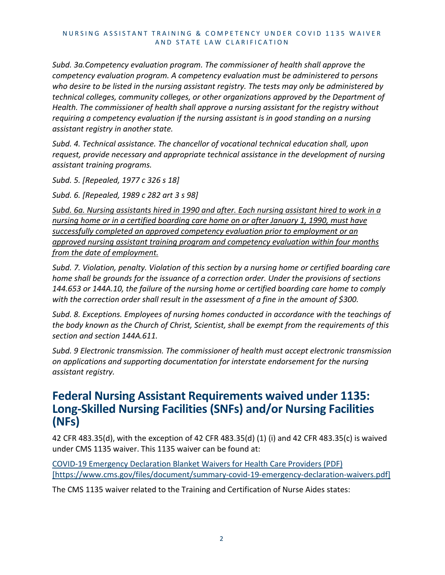*Subd. 3a.Competency evaluation program. The commissioner of health shall approve the competency evaluation program. A competency evaluation must be administered to persons who desire to be listed in the nursing assistant registry. The tests may only be administered by technical colleges, community colleges, or other organizations approved by the Department of Health. The commissioner of health shall approve a nursing assistant for the registry without requiring a competency evaluation if the nursing assistant is in good standing on a nursing assistant registry in another state.*

*Subd. 4. Technical assistance. The chancellor of vocational technical education shall, upon request, provide necessary and appropriate technical assistance in the development of nursing assistant training programs.*

*Subd. 5. [Repealed, 1977 c 326 s 18]*

*Subd. 6. [Repealed, 1989 c 282 art 3 s 98]*

*Subd. 6a. Nursing assistants hired in 1990 and after. Each nursing assistant hired to work in a nursing home or in a certified boarding care home on or after January 1, 1990, must have successfully completed an approved competency evaluation prior to employment or an approved nursing assistant training program and competency evaluation within four months from the date of employment.*

*Subd. 7. Violation, penalty. Violation of this section by a nursing home or certified boarding care home shall be grounds for the issuance of a correction order. Under the provisions of sections 144.653 or 144A.10, the failure of the nursing home or certified boarding care home to comply with the correction order shall result in the assessment of a fine in the amount of \$300.*

*Subd. 8. Exceptions. Employees of nursing homes conducted in accordance with the teachings of the body known as the Church of Christ, Scientist, shall be exempt from the requirements of this section and section 144A.611.*

*Subd. 9 Electronic transmission. The commissioner of health must accept electronic transmission on applications and supporting documentation for interstate endorsement for the nursing assistant registry.*

# **Federal Nursing Assistant Requirements waived under 1135: Long-Skilled Nursing Facilities (SNFs) and/or Nursing Facilities (NFs)**

42 CFR 483.35(d), with the exception of 42 CFR 483.35(d) (1) (i) and 42 CFR 483.35(c) is waived under CMS 1135 waiver. This 1135 waiver can be found at:

[COVID-19 Emergency Declaration Blanket Waivers for Health Care Providers \(PDF\)](https://www.cms.gov/files/document/summary-covid-19-emergency-declaration-waivers.pdf)  [\[https://www.cms.gov/files/document/summary-covid-19-emergency-declaration-waivers.pdf\]](https://www.cms.gov/files/document/summary-covid-19-emergency-declaration-waivers.pdf)

The CMS 1135 waiver related to the Training and Certification of Nurse Aides states: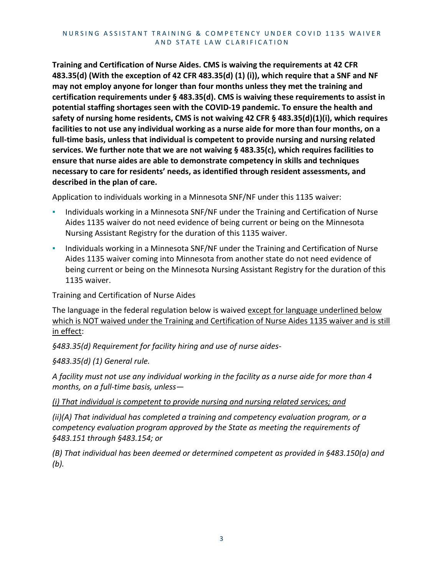**Training and Certification of Nurse Aides. CMS is waiving the requirements at 42 CFR 483.35(d) (With the exception of 42 CFR 483.35(d) (1) (i)), which require that a SNF and NF may not employ anyone for longer than four months unless they met the training and certification requirements under § 483.35(d). CMS is waiving these requirements to assist in potential staffing shortages seen with the COVID-19 pandemic. To ensure the health and safety of nursing home residents, CMS is not waiving 42 CFR § 483.35(d)(1)(i), which requires facilities to not use any individual working as a nurse aide for more than four months, on a full-time basis, unless that individual is competent to provide nursing and nursing related services. We further note that we are not waiving § 483.35(c), which requires facilities to ensure that nurse aides are able to demonstrate competency in skills and techniques necessary to care for residents' needs, as identified through resident assessments, and described in the plan of care.**

Application to individuals working in a Minnesota SNF/NF under this 1135 waiver:

- Individuals working in a Minnesota SNF/NF under the Training and Certification of Nurse Aides 1135 waiver do not need evidence of being current or being on the Minnesota Nursing Assistant Registry for the duration of this 1135 waiver.
- **Individuals working in a Minnesota SNF/NF under the Training and Certification of Nurse** Aides 1135 waiver coming into Minnesota from another state do not need evidence of being current or being on the Minnesota Nursing Assistant Registry for the duration of this 1135 waiver.

Training and Certification of Nurse Aides

The language in the federal regulation below is waived except for language underlined below which is NOT waived under the Training and Certification of Nurse Aides 1135 waiver and is still in effect:

*§483.35(d) Requirement for facility hiring and use of nurse aides-*

*§483.35(d) (1) General rule.* 

*A facility must not use any individual working in the facility as a nurse aide for more than 4 months, on a full-time basis, unless—*

*(i) That individual is competent to provide nursing and nursing related services; and* 

*(ii)(A) That individual has completed a training and competency evaluation program, or a competency evaluation program approved by the State as meeting the requirements of §483.151 through §483.154; or*

*(B) That individual has been deemed or determined competent as provided in §483.150(a) and (b).*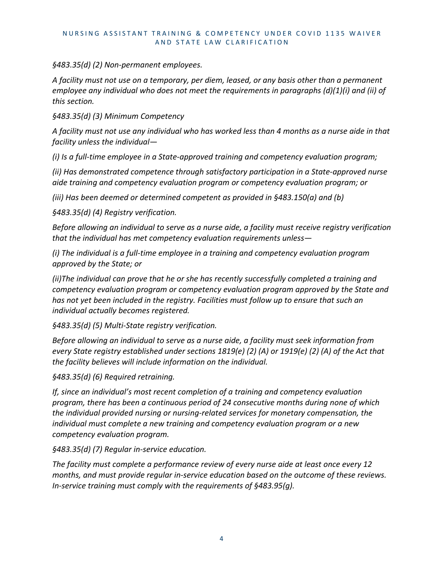*§483.35(d) (2) Non-permanent employees.* 

*A facility must not use on a temporary, per diem, leased, or any basis other than a permanent employee any individual who does not meet the requirements in paragraphs (d)(1)(i) and (ii) of this section.* 

*§483.35(d) (3) Minimum Competency* 

*A facility must not use any individual who has worked less than 4 months as a nurse aide in that facility unless the individual—*

*(i) Is a full-time employee in a State-approved training and competency evaluation program;* 

*(ii) Has demonstrated competence through satisfactory participation in a State-approved nurse aide training and competency evaluation program or competency evaluation program; or* 

*(iii) Has been deemed or determined competent as provided in §483.150(a) and (b)* 

*§483.35(d) (4) Registry verification.*

*Before allowing an individual to serve as a nurse aide, a facility must receive registry verification that the individual has met competency evaluation requirements unless—*

*(i) The individual is a full-time employee in a training and competency evaluation program approved by the State; or*

*(ii)The individual can prove that he or she has recently successfully completed a training and competency evaluation program or competency evaluation program approved by the State and*  has not yet been included in the registry. Facilities must follow up to ensure that such an *individual actually becomes registered.*

*§483.35(d) (5) Multi-State registry verification.*

*Before allowing an individual to serve as a nurse aide, a facility must seek information from every State registry established under sections 1819(e) (2) (A) or 1919(e) (2) (A) of the Act that the facility believes will include information on the individual.*

*§483.35(d) (6) Required retraining.*

*If, since an individual's most recent completion of a training and competency evaluation program, there has been a continuous period of 24 consecutive months during none of which the individual provided nursing or nursing-related services for monetary compensation, the individual must complete a new training and competency evaluation program or a new competency evaluation program.*

*§483.35(d) (7) Regular in-service education.*

*The facility must complete a performance review of every nurse aide at least once every 12 months, and must provide regular in-service education based on the outcome of these reviews. In-service training must comply with the requirements of §483.95(g).*